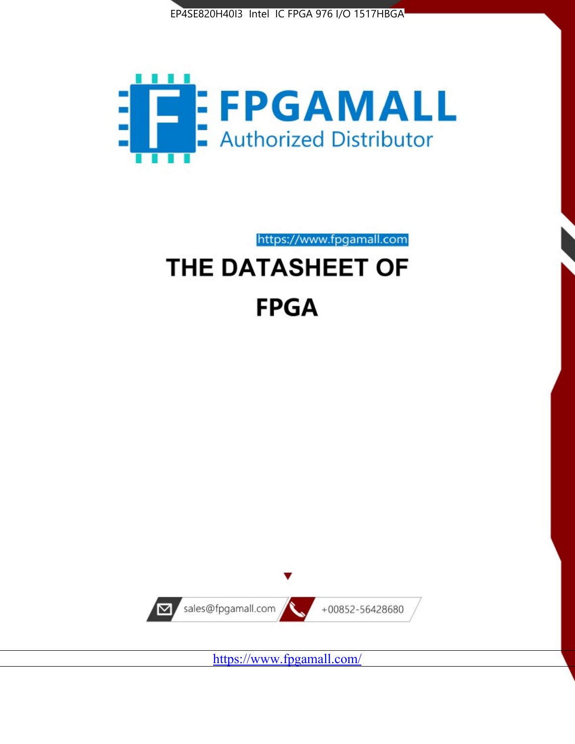



https://www.fpgamall.com THE DATASHEET OF

# **FPGA**



<https://www.fpgamall.com/>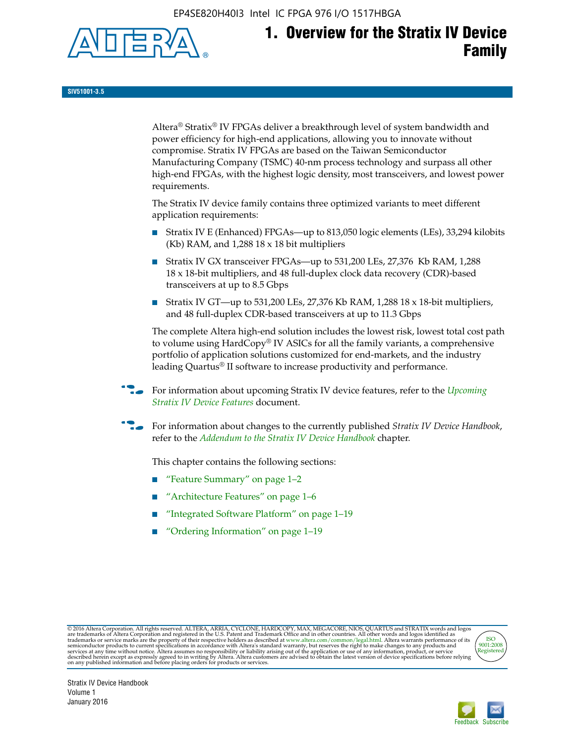EP4SE820H40I3 Intel IC FPGA 976 I/O 1517HBGA



**SIV51001-3.5**

Altera® Stratix® IV FPGAs deliver a breakthrough level of system bandwidth and power efficiency for high-end applications, allowing you to innovate without compromise. Stratix IV FPGAs are based on the Taiwan Semiconductor Manufacturing Company (TSMC) 40-nm process technology and surpass all other high-end FPGAs, with the highest logic density, most transceivers, and lowest power requirements.

The Stratix IV device family contains three optimized variants to meet different application requirements:

- Stratix IV E (Enhanced) FPGAs—up to 813,050 logic elements (LEs), 33,294 kilobits (Kb) RAM, and 1,288 18 x 18 bit multipliers
- Stratix IV GX transceiver FPGAs—up to 531,200 LEs, 27,376 Kb RAM, 1,288 18 x 18-bit multipliers, and 48 full-duplex clock data recovery (CDR)-based transceivers at up to 8.5 Gbps
- Stratix IV GT—up to 531,200 LEs, 27,376 Kb RAM, 1,288 18 x 18-bit multipliers, and 48 full-duplex CDR-based transceivers at up to 11.3 Gbps

The complete Altera high-end solution includes the lowest risk, lowest total cost path to volume using HardCopy® IV ASICs for all the family variants, a comprehensive portfolio of application solutions customized for end-markets, and the industry leading Quartus® II software to increase productivity and performance.

f For information about upcoming Stratix IV device features, refer to the *[Upcoming](http://www.altera.com/literature/hb/stratix-iv/uf01001.pdf?GSA_pos=2&WT.oss_r=1&WT.oss=upcoming)  [Stratix IV Device Features](http://www.altera.com/literature/hb/stratix-iv/uf01001.pdf?GSA_pos=2&WT.oss_r=1&WT.oss=upcoming)* document.

f For information about changes to the currently published *Stratix IV Device Handbook*, refer to the *[Addendum to the Stratix IV Device Handbook](http://www.altera.com/literature/hb/stratix-iv/stx4_siv54002.pdf)* chapter.

This chapter contains the following sections:

- "Feature Summary" on page 1–2
- "Architecture Features" on page 1–6
- "Integrated Software Platform" on page 1–19
- "Ordering Information" on page 1–19

@2016 Altera Corporation. All rights reserved. ALTERA, ARRIA, CYCLONE, HARDCOPY, MAX, MEGACORE, NIOS, QUARTUS and STRATIX words and logos are trademarks of Altera Corporation and registered in the U.S. Patent and Trademark



Stratix IV Device Handbook Volume 1 January 2016

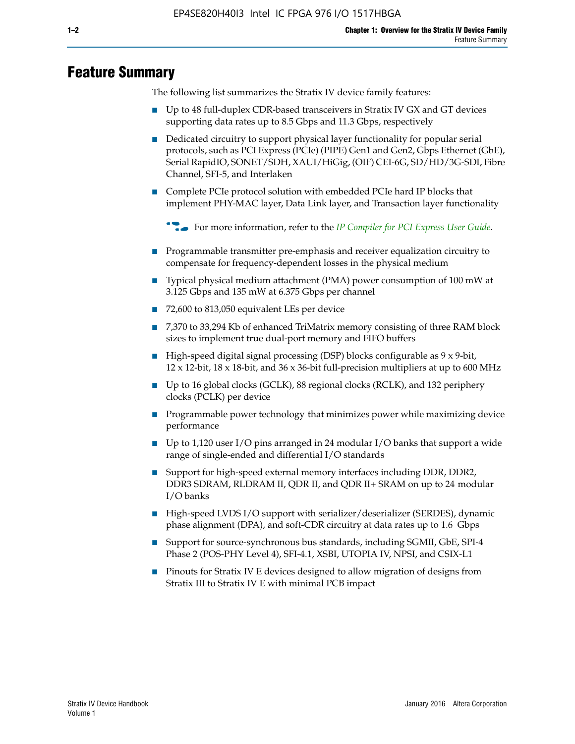# **Feature Summary**

The following list summarizes the Stratix IV device family features:

- Up to 48 full-duplex CDR-based transceivers in Stratix IV GX and GT devices supporting data rates up to 8.5 Gbps and 11.3 Gbps, respectively
- Dedicated circuitry to support physical layer functionality for popular serial protocols, such as PCI Express (PCIe) (PIPE) Gen1 and Gen2, Gbps Ethernet (GbE), Serial RapidIO, SONET/SDH, XAUI/HiGig, (OIF) CEI-6G, SD/HD/3G-SDI, Fibre Channel, SFI-5, and Interlaken
- Complete PCIe protocol solution with embedded PCIe hard IP blocks that implement PHY-MAC layer, Data Link layer, and Transaction layer functionality

**For more information, refer to the** *[IP Compiler for PCI Express User Guide](http://www.altera.com/literature/ug/ug_pci_express.pdf)***.** 

- Programmable transmitter pre-emphasis and receiver equalization circuitry to compensate for frequency-dependent losses in the physical medium
- Typical physical medium attachment (PMA) power consumption of 100 mW at 3.125 Gbps and 135 mW at 6.375 Gbps per channel
- 72,600 to 813,050 equivalent LEs per device
- 7,370 to 33,294 Kb of enhanced TriMatrix memory consisting of three RAM block sizes to implement true dual-port memory and FIFO buffers
- High-speed digital signal processing (DSP) blocks configurable as 9 x 9-bit,  $12 \times 12$ -bit,  $18 \times 18$ -bit, and  $36 \times 36$ -bit full-precision multipliers at up to 600 MHz
- Up to 16 global clocks (GCLK), 88 regional clocks (RCLK), and 132 periphery clocks (PCLK) per device
- Programmable power technology that minimizes power while maximizing device performance
- Up to 1,120 user I/O pins arranged in 24 modular I/O banks that support a wide range of single-ended and differential I/O standards
- Support for high-speed external memory interfaces including DDR, DDR2, DDR3 SDRAM, RLDRAM II, QDR II, and QDR II+ SRAM on up to 24 modular I/O banks
- High-speed LVDS I/O support with serializer/deserializer (SERDES), dynamic phase alignment (DPA), and soft-CDR circuitry at data rates up to 1.6 Gbps
- Support for source-synchronous bus standards, including SGMII, GbE, SPI-4 Phase 2 (POS-PHY Level 4), SFI-4.1, XSBI, UTOPIA IV, NPSI, and CSIX-L1
- Pinouts for Stratix IV E devices designed to allow migration of designs from Stratix III to Stratix IV E with minimal PCB impact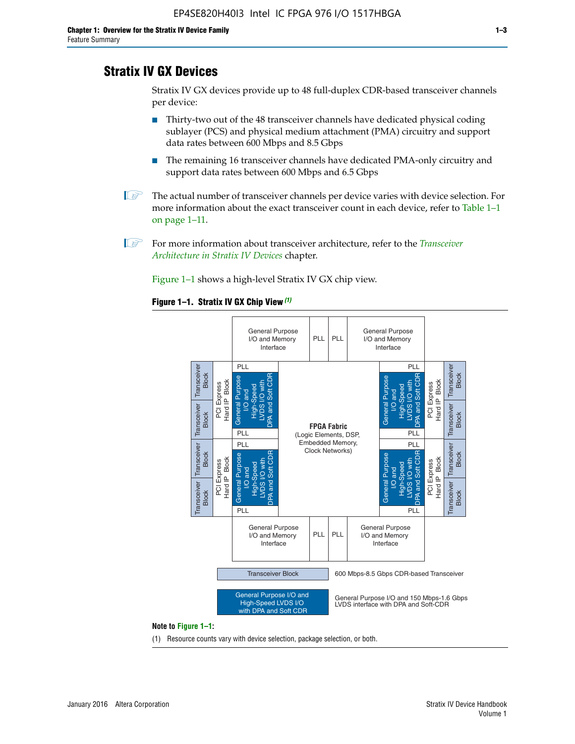# **Stratix IV GX Devices**

Stratix IV GX devices provide up to 48 full-duplex CDR-based transceiver channels per device:

- Thirty-two out of the 48 transceiver channels have dedicated physical coding sublayer (PCS) and physical medium attachment (PMA) circuitry and support data rates between 600 Mbps and 8.5 Gbps
- The remaining 16 transceiver channels have dedicated PMA-only circuitry and support data rates between 600 Mbps and 6.5 Gbps
- **1 The actual number of transceiver channels per device varies with device selection. For** more information about the exact transceiver count in each device, refer to Table 1–1 on page 1–11.
- 1 For more information about transceiver architecture, refer to the *[Transceiver](http://www.altera.com/literature/hb/stratix-iv/stx4_siv52001.pdf)  [Architecture in Stratix IV Devices](http://www.altera.com/literature/hb/stratix-iv/stx4_siv52001.pdf)* chapter.

Figure 1–1 shows a high-level Stratix IV GX chip view.

#### **Figure 1–1. Stratix IV GX Chip View** *(1)*



#### **Note to Figure 1–1:**

(1) Resource counts vary with device selection, package selection, or both.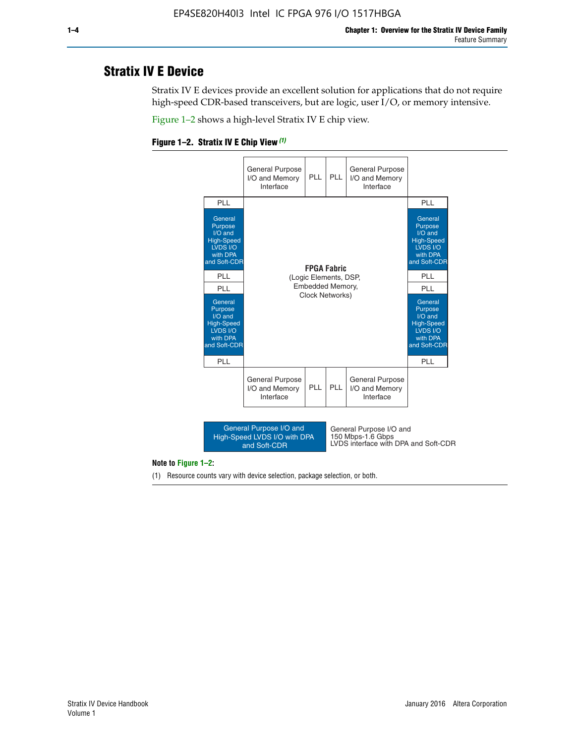# **Stratix IV E Device**

Stratix IV E devices provide an excellent solution for applications that do not require high-speed CDR-based transceivers, but are logic, user I/O, or memory intensive.

Figure 1–2 shows a high-level Stratix IV E chip view.





#### **Note to Figure 1–2:**

(1) Resource counts vary with device selection, package selection, or both.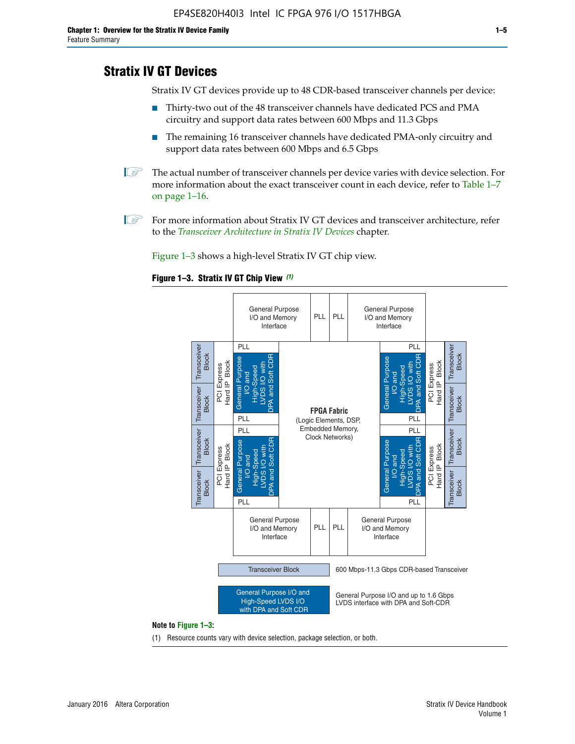# **Stratix IV GT Devices**

Stratix IV GT devices provide up to 48 CDR-based transceiver channels per device:

- Thirty-two out of the 48 transceiver channels have dedicated PCS and PMA circuitry and support data rates between 600 Mbps and 11.3 Gbps
- The remaining 16 transceiver channels have dedicated PMA-only circuitry and support data rates between 600 Mbps and 6.5 Gbps
- **1** The actual number of transceiver channels per device varies with device selection. For more information about the exact transceiver count in each device, refer to Table 1–7 on page 1–16.
- $\mathbb{I}$  For more information about Stratix IV GT devices and transceiver architecture, refer to the *[Transceiver Architecture in Stratix IV Devices](http://www.altera.com/literature/hb/stratix-iv/stx4_siv52001.pdf)* chapter.

Figure 1–3 shows a high-level Stratix IV GT chip view.

#### **Figure 1–3. Stratix IV GT Chip View** *(1)*



(1) Resource counts vary with device selection, package selection, or both.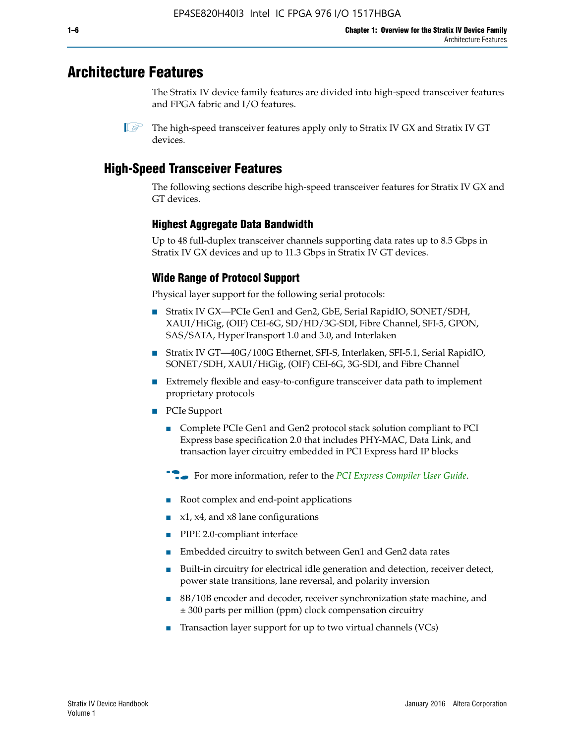# **Architecture Features**

The Stratix IV device family features are divided into high-speed transceiver features and FPGA fabric and I/O features.

 $\mathbb{I}$  The high-speed transceiver features apply only to Stratix IV GX and Stratix IV GT devices.

# **High-Speed Transceiver Features**

The following sections describe high-speed transceiver features for Stratix IV GX and GT devices.

# **Highest Aggregate Data Bandwidth**

Up to 48 full-duplex transceiver channels supporting data rates up to 8.5 Gbps in Stratix IV GX devices and up to 11.3 Gbps in Stratix IV GT devices.

# **Wide Range of Protocol Support**

Physical layer support for the following serial protocols:

- Stratix IV GX—PCIe Gen1 and Gen2, GbE, Serial RapidIO, SONET/SDH, XAUI/HiGig, (OIF) CEI-6G, SD/HD/3G-SDI, Fibre Channel, SFI-5, GPON, SAS/SATA, HyperTransport 1.0 and 3.0, and Interlaken
- Stratix IV GT—40G/100G Ethernet, SFI-S, Interlaken, SFI-5.1, Serial RapidIO, SONET/SDH, XAUI/HiGig, (OIF) CEI-6G, 3G-SDI, and Fibre Channel
- Extremely flexible and easy-to-configure transceiver data path to implement proprietary protocols
- PCIe Support
	- Complete PCIe Gen1 and Gen2 protocol stack solution compliant to PCI Express base specification 2.0 that includes PHY-MAC, Data Link, and transaction layer circuitry embedded in PCI Express hard IP blocks
	- **For more information, refer to the [PCI Express Compiler User Guide](http://www.altera.com/literature/ug/ug_pci_express.pdf).**
	- Root complex and end-point applications
	- $x1, x4,$  and  $x8$  lane configurations
	- PIPE 2.0-compliant interface
	- Embedded circuitry to switch between Gen1 and Gen2 data rates
	- Built-in circuitry for electrical idle generation and detection, receiver detect, power state transitions, lane reversal, and polarity inversion
	- 8B/10B encoder and decoder, receiver synchronization state machine, and ± 300 parts per million (ppm) clock compensation circuitry
	- Transaction layer support for up to two virtual channels (VCs)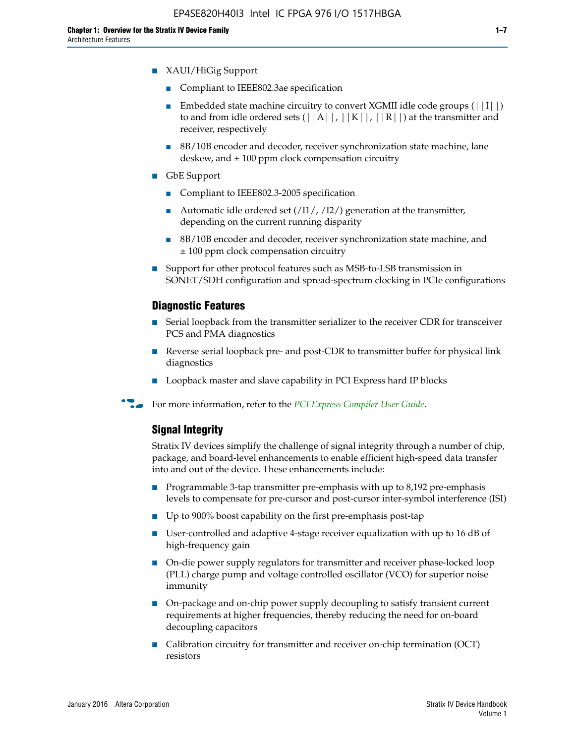- XAUI/HiGig Support
	- Compliant to IEEE802.3ae specification
	- **■** Embedded state machine circuitry to convert XGMII idle code groups  $(|11|)$ to and from idle ordered sets  $(|A|, |K|, |R|)$  at the transmitter and receiver, respectively
	- 8B/10B encoder and decoder, receiver synchronization state machine, lane deskew, and  $\pm 100$  ppm clock compensation circuitry
- GbE Support
	- Compliant to IEEE802.3-2005 specification
	- Automatic idle ordered set  $(111/112/1)$  generation at the transmitter, depending on the current running disparity
	- 8B/10B encoder and decoder, receiver synchronization state machine, and ± 100 ppm clock compensation circuitry
- Support for other protocol features such as MSB-to-LSB transmission in SONET/SDH configuration and spread-spectrum clocking in PCIe configurations

#### **Diagnostic Features**

- Serial loopback from the transmitter serializer to the receiver CDR for transceiver PCS and PMA diagnostics
- Reverse serial loopback pre- and post-CDR to transmitter buffer for physical link diagnostics
- Loopback master and slave capability in PCI Express hard IP blocks
- **For more information, refer to the** *[PCI Express Compiler User Guide](http://www.altera.com/literature/ug/ug_pci_express.pdf)***.**

## **Signal Integrity**

Stratix IV devices simplify the challenge of signal integrity through a number of chip, package, and board-level enhancements to enable efficient high-speed data transfer into and out of the device. These enhancements include:

- Programmable 3-tap transmitter pre-emphasis with up to 8,192 pre-emphasis levels to compensate for pre-cursor and post-cursor inter-symbol interference (ISI)
- Up to 900% boost capability on the first pre-emphasis post-tap
- User-controlled and adaptive 4-stage receiver equalization with up to 16 dB of high-frequency gain
- On-die power supply regulators for transmitter and receiver phase-locked loop (PLL) charge pump and voltage controlled oscillator (VCO) for superior noise immunity
- On-package and on-chip power supply decoupling to satisfy transient current requirements at higher frequencies, thereby reducing the need for on-board decoupling capacitors
- Calibration circuitry for transmitter and receiver on-chip termination (OCT) resistors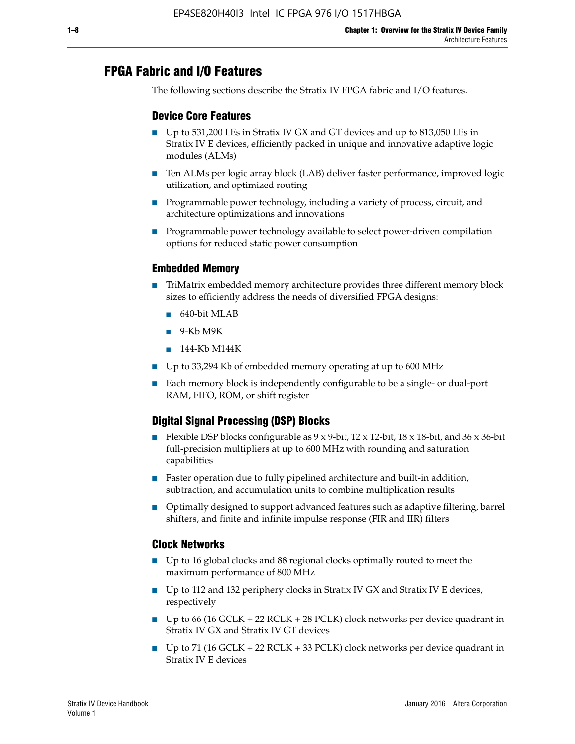# **FPGA Fabric and I/O Features**

The following sections describe the Stratix IV FPGA fabric and I/O features.

## **Device Core Features**

- Up to 531,200 LEs in Stratix IV GX and GT devices and up to 813,050 LEs in Stratix IV E devices, efficiently packed in unique and innovative adaptive logic modules (ALMs)
- Ten ALMs per logic array block (LAB) deliver faster performance, improved logic utilization, and optimized routing
- Programmable power technology, including a variety of process, circuit, and architecture optimizations and innovations
- Programmable power technology available to select power-driven compilation options for reduced static power consumption

## **Embedded Memory**

- TriMatrix embedded memory architecture provides three different memory block sizes to efficiently address the needs of diversified FPGA designs:
	- 640-bit MLAB
	- 9-Kb M9K
	- 144-Kb M144K
- Up to 33,294 Kb of embedded memory operating at up to 600 MHz
- Each memory block is independently configurable to be a single- or dual-port RAM, FIFO, ROM, or shift register

# **Digital Signal Processing (DSP) Blocks**

- Flexible DSP blocks configurable as  $9 \times 9$ -bit,  $12 \times 12$ -bit,  $18 \times 18$ -bit, and  $36 \times 36$ -bit full-precision multipliers at up to 600 MHz with rounding and saturation capabilities
- Faster operation due to fully pipelined architecture and built-in addition, subtraction, and accumulation units to combine multiplication results
- Optimally designed to support advanced features such as adaptive filtering, barrel shifters, and finite and infinite impulse response (FIR and IIR) filters

#### **Clock Networks**

- Up to 16 global clocks and 88 regional clocks optimally routed to meet the maximum performance of 800 MHz
- Up to 112 and 132 periphery clocks in Stratix IV GX and Stratix IV E devices, respectively
- Up to 66 (16 GCLK + 22 RCLK + 28 PCLK) clock networks per device quadrant in Stratix IV GX and Stratix IV GT devices
- Up to 71 (16 GCLK + 22 RCLK + 33 PCLK) clock networks per device quadrant in Stratix IV E devices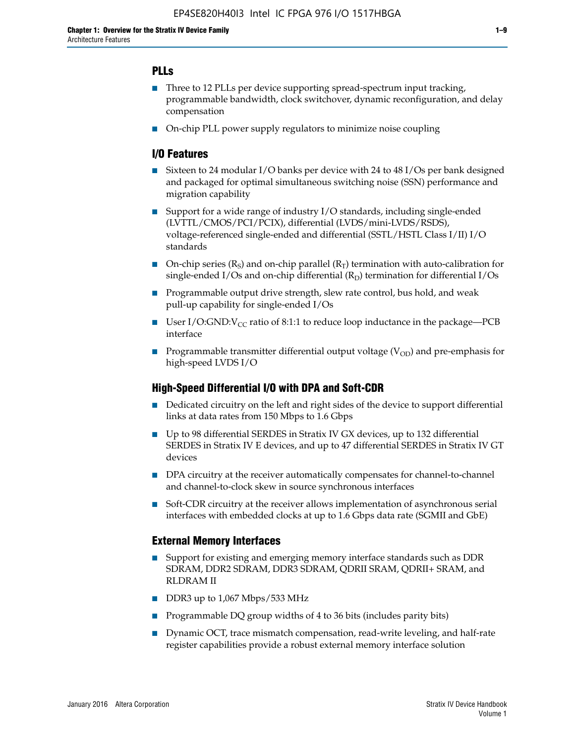# **PLLs**

- Three to 12 PLLs per device supporting spread-spectrum input tracking, programmable bandwidth, clock switchover, dynamic reconfiguration, and delay compensation
- On-chip PLL power supply regulators to minimize noise coupling

## **I/O Features**

- Sixteen to 24 modular I/O banks per device with 24 to 48 I/Os per bank designed and packaged for optimal simultaneous switching noise (SSN) performance and migration capability
- Support for a wide range of industry I/O standards, including single-ended (LVTTL/CMOS/PCI/PCIX), differential (LVDS/mini-LVDS/RSDS), voltage-referenced single-ended and differential (SSTL/HSTL Class I/II) I/O standards
- **O**n-chip series  $(R_S)$  and on-chip parallel  $(R_T)$  termination with auto-calibration for single-ended I/Os and on-chip differential  $(R_D)$  termination for differential I/Os
- Programmable output drive strength, slew rate control, bus hold, and weak pull-up capability for single-ended I/Os
- User I/O:GND: $V_{CC}$  ratio of 8:1:1 to reduce loop inductance in the package—PCB interface
- **■** Programmable transmitter differential output voltage ( $V_{OD}$ ) and pre-emphasis for high-speed LVDS I/O

## **High-Speed Differential I/O with DPA and Soft-CDR**

- Dedicated circuitry on the left and right sides of the device to support differential links at data rates from 150 Mbps to 1.6 Gbps
- Up to 98 differential SERDES in Stratix IV GX devices, up to 132 differential SERDES in Stratix IV E devices, and up to 47 differential SERDES in Stratix IV GT devices
- DPA circuitry at the receiver automatically compensates for channel-to-channel and channel-to-clock skew in source synchronous interfaces
- Soft-CDR circuitry at the receiver allows implementation of asynchronous serial interfaces with embedded clocks at up to 1.6 Gbps data rate (SGMII and GbE)

## **External Memory Interfaces**

- Support for existing and emerging memory interface standards such as DDR SDRAM, DDR2 SDRAM, DDR3 SDRAM, QDRII SRAM, QDRII+ SRAM, and RLDRAM II
- DDR3 up to 1,067 Mbps/533 MHz
- Programmable DQ group widths of 4 to 36 bits (includes parity bits)
- Dynamic OCT, trace mismatch compensation, read-write leveling, and half-rate register capabilities provide a robust external memory interface solution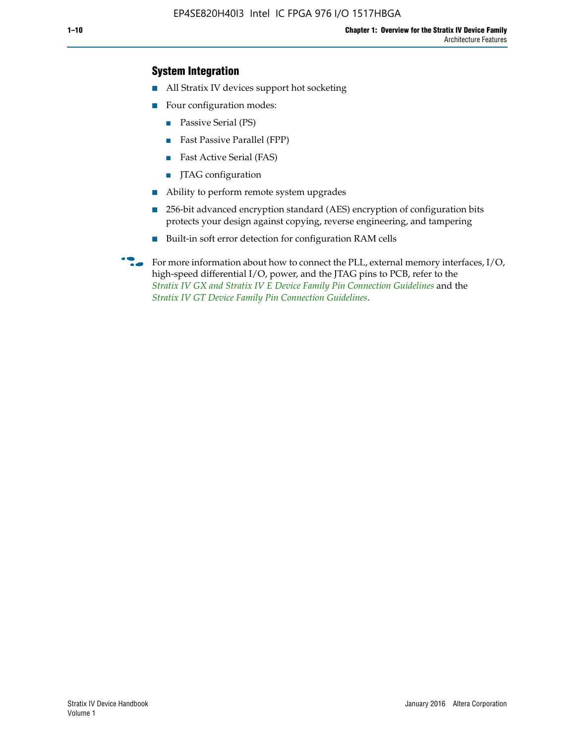# **System Integration**

- All Stratix IV devices support hot socketing
- Four configuration modes:
	- Passive Serial (PS)
	- Fast Passive Parallel (FPP)
	- Fast Active Serial (FAS)
	- JTAG configuration
- Ability to perform remote system upgrades
- 256-bit advanced encryption standard (AES) encryption of configuration bits protects your design against copying, reverse engineering, and tampering
- Built-in soft error detection for configuration RAM cells
- For more information about how to connect the PLL, external memory interfaces,  $I/O$ , high-speed differential I/O, power, and the JTAG pins to PCB, refer to the *[Stratix IV GX and Stratix IV E Device Family Pin Connection Guidelines](http://www.altera.com/literature/dp/stratix4/PCG-01005.pdf)* and the *[Stratix IV GT Device Family Pin Connection Guidelines](http://www.altera.com/literature/dp/stratix4/PCG-01006.pdf)*.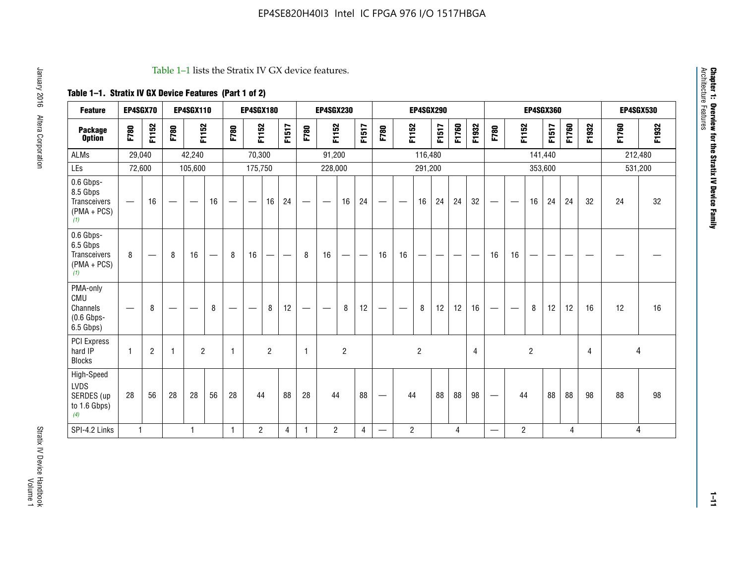#### Table 1–1 lists the Stratix IV GX device features.

# **Table 1–1. Stratix IV GX Device Features (Part 1 of 2)**

| <b>Feature</b>                                                | EP4SGX70                        |                                |                   | <b>EP4SGX110</b> |    |                   | <b>EP4SGX180</b>  |                |       |              | <b>EP4SGX230</b> |                   |                          |                                 |                | <b>EP4SGX290</b> |                               |       |       |                                 |                          |                | <b>EP4SGX360</b> |       |       |       | <b>EP4SGX530</b> |
|---------------------------------------------------------------|---------------------------------|--------------------------------|-------------------|------------------|----|-------------------|-------------------|----------------|-------|--------------|------------------|-------------------|--------------------------|---------------------------------|----------------|------------------|-------------------------------|-------|-------|---------------------------------|--------------------------|----------------|------------------|-------|-------|-------|------------------|
| <b>Package</b><br><b>Option</b>                               | F780                            | F1152                          | F780              | F1152            |    | F780              | F1152             |                | F1517 | F780         | F1152            |                   | F1517                    | F780                            | F1152          |                  | F1517                         | F1760 | F1932 | F780                            | F1152                    |                | <b>F1517</b>     | F1760 | F1932 | F1760 | F1932            |
| <b>ALMs</b>                                                   | 29,040                          |                                |                   | 42,240           |    |                   | 70,300            |                |       |              | 91,200           |                   |                          |                                 |                | 116,480          |                               |       |       |                                 |                          | 141,440        |                  |       |       |       | 212,480          |
| LEs                                                           | 72,600                          |                                |                   | 105,600          |    |                   | 175,750           |                |       |              | 228,000          |                   |                          |                                 |                | 291,200          |                               |       |       |                                 |                          | 353,600        |                  |       |       |       | 531,200          |
| 0.6 Gbps-<br>8.5 Gbps<br>Transceivers<br>$(PMA + PCs)$<br>(1) | —                               | 16                             |                   |                  | 16 |                   |                   | 16             | 24    |              |                  | 16                | 24                       | $\qquad \qquad$                 |                | 16               | 24                            | 24    | 32    | $\hspace{0.1mm}-\hspace{0.1mm}$ |                          | 16             | 24               | 24    | 32    | 24    | 32               |
| 0.6 Gbps-<br>6.5 Gbps<br>Transceivers<br>$(PMA + PCs)$<br>(1) | 8                               | $\qquad \qquad \longleftarrow$ | 8                 | 16               |    | 8                 | 16                | —              |       | 8            | 16               | $\hspace{0.05cm}$ | $\overline{\phantom{m}}$ | 16                              | 16             | —                | $\overbrace{\phantom{aaaaa}}$ |       |       | 16                              | 16                       | —              |                  |       |       |       |                  |
| PMA-only<br>CMU<br>Channels<br>$(0.6$ Gbps-<br>6.5 Gbps)      | $\hspace{0.1mm}-\hspace{0.1mm}$ | 8                              | $\hspace{0.05cm}$ |                  | 8  | $\hspace{0.05cm}$ | $\hspace{0.05cm}$ | 8              | 12    |              |                  | 8                 | 12                       | $\hspace{0.1mm}-\hspace{0.1mm}$ |                | 8                | 12                            | 12    | 16    | $\qquad \qquad -$               | $\overline{\phantom{m}}$ | 8              | 12               | 12    | 16    | 12    | 16               |
| <b>PCI Express</b><br>hard IP<br><b>Blocks</b>                | $\mathbf{1}$                    | $\overline{c}$                 | -1                | $\overline{2}$   |    | $\mathbf{1}$      |                   | $\overline{2}$ |       | $\mathbf{1}$ |                  | $\overline{c}$    |                          |                                 |                | $\overline{c}$   |                               |       | 4     |                                 |                          | $\overline{2}$ |                  |       | 4     |       | 4                |
| High-Speed<br>LVDS<br>SERDES (up<br>to 1.6 Gbps)<br>(4)       | 28                              | 56                             | 28                | 28               | 56 | 28                | 44                |                | 88    | 28           | 44               |                   | 88                       | $\hspace{0.1mm}-\hspace{0.1mm}$ | 44             |                  | 88                            | 88    | 98    | $\hspace{0.1mm}-\hspace{0.1mm}$ | 44                       |                | 88               | 88    | 98    | 88    | 98               |
| SPI-4.2 Links                                                 | $\mathbf{1}$                    |                                |                   | $\mathbf{1}$     |    | $\mathbf{1}$      | $\overline{c}$    |                | 4     | $\mathbf{1}$ | $\overline{2}$   |                   | 4                        | $\qquad \qquad \longleftarrow$  | $\overline{c}$ |                  |                               | 4     |       | $\overline{\phantom{0}}$        | 2                        |                |                  | 4     |       |       | 4                |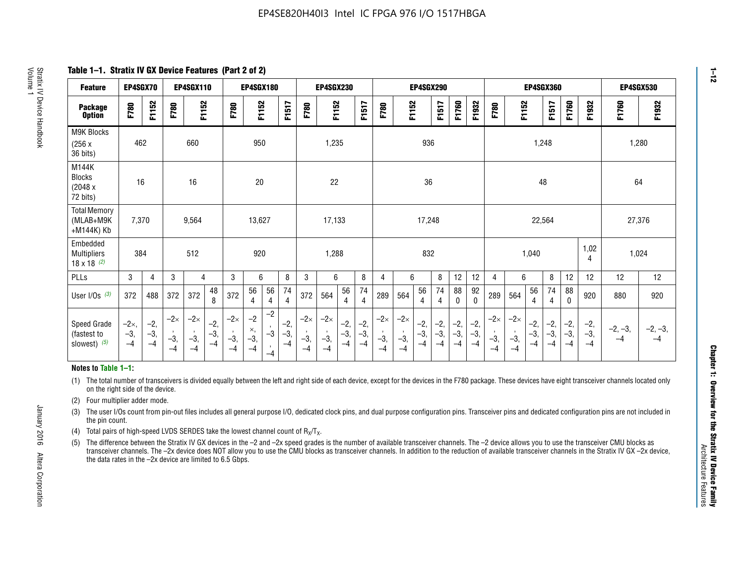**Table 1–1. Stratix IV GX Device Features (Part 2 of 2)**

| <b>Feature</b>                                       | EP4SGX70                |                        |                             | <b>EP4SGX110</b>            |                      |                             | <b>EP4SGX180</b>          |                                              |                        |                             | <b>EP4SGX230</b>            |                        |                      |                             |                             | EP4SGX290              |                      |                        |                        |                             |                             |                        | <b>EP4SGX360</b>     |                        |                        | <b>EP4SGX530</b>  |                   |
|------------------------------------------------------|-------------------------|------------------------|-----------------------------|-----------------------------|----------------------|-----------------------------|---------------------------|----------------------------------------------|------------------------|-----------------------------|-----------------------------|------------------------|----------------------|-----------------------------|-----------------------------|------------------------|----------------------|------------------------|------------------------|-----------------------------|-----------------------------|------------------------|----------------------|------------------------|------------------------|-------------------|-------------------|
| <b>Package</b><br><b>Option</b>                      | F780                    | F1152                  | F780                        | F1152                       |                      | F780                        | F1152                     |                                              | F1517                  | F780                        | F1152                       |                        | F1517                | F780                        | F1152                       |                        | F1517                | F1760                  | F1932                  | F780                        | F1152                       |                        | F1517                | F1760                  | F1932                  | F1760             | F1932             |
| M9K Blocks<br>(256x)<br>36 bits)                     | 462                     |                        |                             | 660                         |                      |                             | 950                       |                                              |                        |                             | 1,235                       |                        |                      |                             |                             | 936                    |                      |                        |                        |                             |                             | 1,248                  |                      |                        |                        | 1,280             |                   |
| M144K<br>Blocks<br>(2048 x<br>72 bits)               | 16                      |                        |                             | 16                          |                      |                             | 20                        |                                              |                        |                             | 22                          |                        |                      |                             |                             | 36                     |                      |                        |                        |                             |                             | 48                     |                      |                        |                        | 64                |                   |
| <b>Total Memory</b><br>(MLAB+M9K<br>+M144K) Kb       | 7,370                   |                        |                             | 9,564                       |                      |                             | 13,627                    |                                              |                        |                             | 17,133                      |                        |                      |                             |                             | 17,248                 |                      |                        |                        |                             |                             | 22,564                 |                      |                        |                        | 27,376            |                   |
| Embedded<br><b>Multipliers</b><br>$18 \times 18$ (2) | 384                     |                        |                             | 512                         |                      |                             | 920                       |                                              |                        |                             | 1,288                       |                        |                      |                             |                             | 832                    |                      |                        |                        |                             |                             | 1,040                  |                      |                        | 1,02<br>4              | 1,024             |                   |
| PLLs                                                 | 3                       | 4                      | 3                           | 4                           |                      | 3                           | 6                         |                                              | 8                      | 3                           | 6                           |                        | 8                    | 4                           | 6                           |                        | 8                    | 12                     | 12                     | 4                           | 6                           |                        | 8                    | 12                     | 12                     | 12                | 12                |
| User I/Os $(3)$                                      | 372                     | 488                    | 372                         | 372                         | 48<br>8              | 372                         | 56<br>4                   | 56<br>4                                      | 74<br>$\overline{4}$   | 372                         | 564                         | 56<br>4                | 74<br>$\overline{4}$ | 289                         | 564                         | 56<br>4                | 74<br>4              | 88<br>0                | 92<br>$\mathbf 0$      | 289                         | 564                         | 56<br>4                | 74<br>4              | 88<br>0                | 920                    | 880               | 920               |
| Speed Grade<br>(fastest to<br>slowest) (5)           | $-2x,$<br>$-3,$<br>$-4$ | $-2,$<br>$-3,$<br>$-4$ | $-2\times$<br>$-3,$<br>$-4$ | $-2\times$<br>$-3,$<br>$-4$ | $-2,$<br>-3,<br>$-4$ | $-2\times$<br>$-3,$<br>$-4$ | $-2$<br>×,<br>$-3,$<br>-4 | $-2$<br>$\,$<br>$-3$<br>$\mathbf{r}$<br>$-4$ | $-2,$<br>$-3,$<br>$-4$ | $-2\times$<br>$-3,$<br>$-4$ | $-2\times$<br>$-3,$<br>$-4$ | $-2,$<br>$-3,$<br>$-4$ | $-2,$<br>-3,<br>$-4$ | $-2\times$<br>$-3,$<br>$-4$ | $-2\times$<br>$-3,$<br>$-4$ | $-2,$<br>$-3,$<br>$-4$ | $-2,$<br>-3,<br>$-4$ | $-2,$<br>$-3,$<br>$-4$ | $-2,$<br>$-3,$<br>$-4$ | $-2\times$<br>$-3,$<br>$-4$ | $-2\times$<br>$-3,$<br>$-4$ | $-2,$<br>$-3,$<br>$-4$ | $-2,$<br>-3,<br>$-4$ | $-2,$<br>$-3,$<br>$-4$ | $-2,$<br>$-3,$<br>$-4$ | $-2, -3,$<br>$-4$ | $-2, -3,$<br>$-4$ |

#### **Notes to Table 1–1:**

(1) The total number of transceivers is divided equally between the left and right side of each device, except for the devices in the F780 package. These devices have eight transceiver channels located only on the right side of the device.

- (2) Four multiplier adder mode.
- (3) The user I/Os count from pin-out files includes all general purpose I/O, dedicated clock pins, and dual purpose configuration pins. Transceiver pins and dedicated configuration pins are not included in the pin count.
- (4) Total pairs of high-speed LVDS SERDES take the lowest channel count of  $R_X/T_X$ .
- (5) The difference between the Stratix IV GX devices in the –2 and –2x speed grades is the number of available transceiver channels. The –2 device allows you to use the transceiver CMU blocks as transceiver channels. The –2x device does NOT allow you to use the CMU blocks as transceiver channels. In addition to the reduction of available transceiver channels in the Stratix IV GX –2x device, the data rates in the –2x device are limited to 6.5 Gbps.

January 2016 Altera Corporation

Altera Corporation

January 2016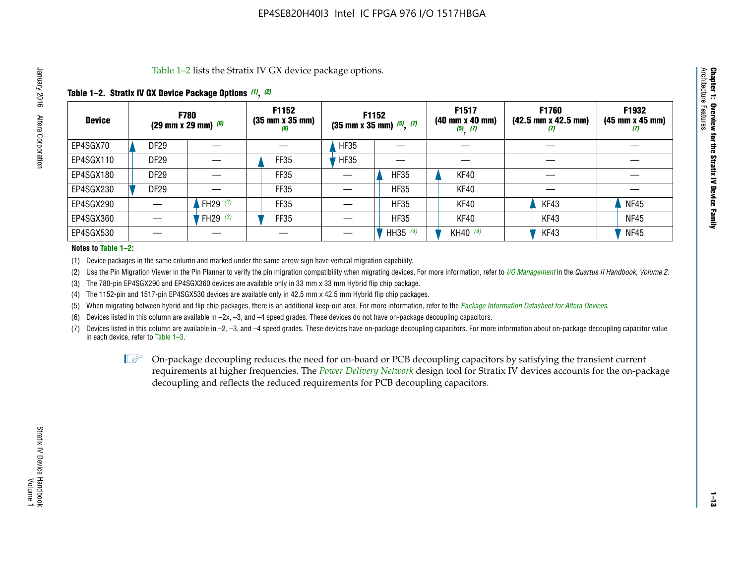Table 1–2 lists the Stratix IV GX device package options.

#### **Table 1–2. Stratix IV GX Device Package Options** *(1)***,** *(2)*

| <b>Device</b> | <b>F780</b><br>(29 mm x 29 mm) $(6)$ |            | F1152<br>$(35 \, \text{mm} \times 35 \, \text{mm})$<br>(6) |             | <b>F1152</b><br>$(35 \text{ mm} \times 35 \text{ mm})$ $(5)$ , $(7)$ | F1517<br>(40 mm x 40 mm)<br>$(5)$ $(7)$ | <b>F1760</b><br>$(42.5 \text{ mm} \times 42.5 \text{ mm})$<br>Ш | F1932<br>(45 mm x 45 mm)<br>(7) |
|---------------|--------------------------------------|------------|------------------------------------------------------------|-------------|----------------------------------------------------------------------|-----------------------------------------|-----------------------------------------------------------------|---------------------------------|
| EP4SGX70      | <b>DF29</b>                          |            |                                                            | <b>HF35</b> |                                                                      |                                         |                                                                 |                                 |
| EP4SGX110     | DF <sub>29</sub>                     |            | FF35                                                       | <b>HF35</b> |                                                                      |                                         |                                                                 |                                 |
| EP4SGX180     | DF29                                 |            | FF35                                                       |             | <b>HF35</b>                                                          | KF40                                    |                                                                 |                                 |
| EP4SGX230     | DF <sub>29</sub>                     |            | FF35                                                       |             | <b>HF35</b>                                                          | KF40                                    |                                                                 |                                 |
| EP4SGX290     |                                      | FH29 $(3)$ | FF35                                                       |             | <b>HF35</b>                                                          | KF40                                    | KF43                                                            | <b>NF45</b>                     |
| EP4SGX360     |                                      | FH29 $(3)$ | FF35                                                       |             | <b>HF35</b>                                                          | KF40                                    | KF43                                                            | <b>NF45</b>                     |
| EP4SGX530     |                                      |            |                                                            |             | HH35 (4)                                                             | KH40 (4)                                | KF43                                                            | <b>NF45</b>                     |

#### **Notes to Table 1–2:**

(1) Device packages in the same column and marked under the same arrow sign have vertical migration capability.

(2) Use the Pin Migration Viewer in the Pin Planner to verify the pin migration compatibility when migrating devices. For more information, refer to *[I/O Management](http://www.altera.com/literature/hb/qts/qts_qii52013.pdf)* in the *Quartus II Handbook, Volume 2*.

(3) The 780-pin EP4SGX290 and EP4SGX360 devices are available only in 33 mm x 33 mm Hybrid flip chip package.

(4) The 1152-pin and 1517-pin EP4SGX530 devices are available only in 42.5 mm x 42.5 mm Hybrid flip chip packages.

(5) When migrating between hybrid and flip chip packages, there is an additional keep-out area. For more information, refer to the *[Package Information Datasheet for Altera Devices](http://www.altera.com/literature/ds/dspkg.pdf)*.

(6) Devices listed in this column are available in –2x, –3, and –4 speed grades. These devices do not have on-package decoupling capacitors.

(7) Devices listed in this column are available in –2, –3, and –4 speed grades. These devices have on-package decoupling capacitors. For more information about on-package decoupling capacitor value in each device, refer to Table 1–3.

 $\mathbb{L}$ s On-package decoupling reduces the need for on-board or PCB decoupling capacitors by satisfying the transient current requirements at higher frequencies. The *[Power Delivery Network](http://www.altera.com/literature/ug/pdn_tool_stxiv.zip)* design tool for Stratix IV devices accounts for the on-package decoupling and reflects the reduced requirements for PCB decoupling capacitors.

**Chapter 1: Overview for the Stratix IV Device Family**

Chapter 1: Overview for the Stratix IV Device Family<br>Architecture Features

Architecture Features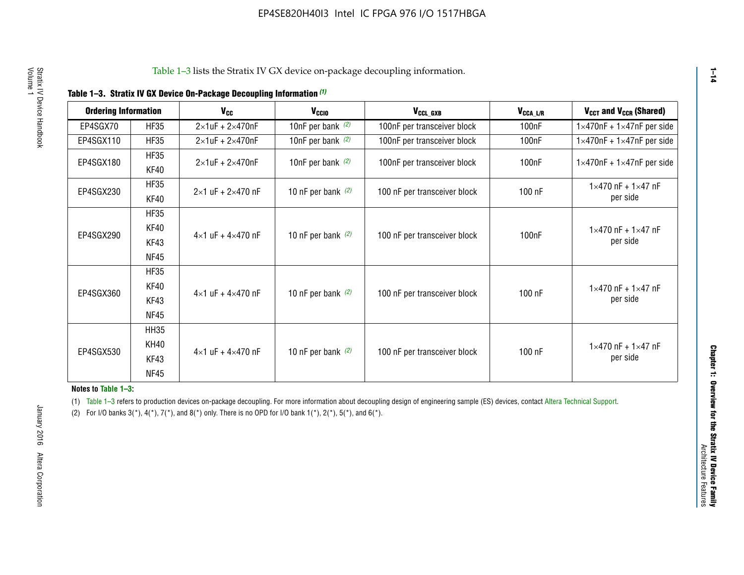|  |  |  | Table 1-3. Stratix IV GX Device On-Package Decoupling Information (1) |
|--|--|--|-----------------------------------------------------------------------|
|--|--|--|-----------------------------------------------------------------------|

| <b>Ordering Information</b> |                     | <b>V<sub>cc</sub></b>               | V <sub>ccio</sub>    | V <sub>CCL GXB</sub>         | V <sub>CCA_L/R</sub> | V <sub>CCT</sub> and V <sub>CCR</sub> (Shared)   |
|-----------------------------|---------------------|-------------------------------------|----------------------|------------------------------|----------------------|--------------------------------------------------|
| EP4SGX70                    | <b>HF35</b>         | $2\times1$ uF + $2\times470$ nF     | 10nF per bank $(2)$  | 100nF per transceiver block  | 100 <sub>n</sub> F   | $1 \times 470$ nF + $1 \times 47$ nF per side    |
| EP4SGX110                   | <b>HF35</b>         | $2\times1$ uF + $2\times470$ nF     | 10nF per bank $(2)$  | 100nF per transceiver block  | 100 <sub>n</sub> F   | $1\times470$ nF + $1\times47$ nF per side        |
| EP4SGX180                   | <b>HF35</b><br>KF40 | $2\times1$ uF + $2\times470$ nF     | 10nF per bank $(2)$  | 100nF per transceiver block  | 100 <sub>nF</sub>    | $1 \times 470$ nF + $1 \times 47$ nF per side    |
| EP4SGX230                   | <b>HF35</b><br>KF40 | $2 \times 1$ uF + $2 \times 470$ nF | 10 nF per bank $(2)$ | 100 nF per transceiver block | 100 nF               | $1 \times 470$ nF + $1 \times 47$ nF<br>per side |
|                             | <b>HF35</b><br>KF40 |                                     |                      |                              |                      | $1 \times 470$ nF + $1 \times 47$ nF             |
| EP4SGX290                   | KF43<br><b>NF45</b> | $4 \times 1$ uF + $4 \times 470$ nF | 10 nF per bank $(2)$ | 100 nF per transceiver block | 100nF                | per side                                         |
|                             | <b>HF35</b><br>KF40 |                                     |                      |                              |                      | $1 \times 470$ nF + $1 \times 47$ nF             |
| EP4SGX360                   | KF43<br><b>NF45</b> | $4 \times 1$ uF + $4 \times 470$ nF | 10 nF per bank $(2)$ | 100 nF per transceiver block | 100 nF               | per side                                         |
|                             | <b>HH35</b>         |                                     |                      |                              |                      |                                                  |
| EP4SGX530                   | <b>KH40</b><br>KF43 | $4 \times 1$ uF + $4 \times 470$ nF | 10 nF per bank $(2)$ | 100 nF per transceiver block | 100 nF               | $1 \times 470$ nF + $1 \times 47$ nF<br>per side |
|                             | <b>NF45</b>         |                                     |                      |                              |                      |                                                  |

**Notes to Table 1–3:**

(1) Table 1-3 refers to production devices on-package decoupling. For more information about decoupling design of engineering sample (ES) devices, contact [Altera Technical Support](http://mysupport.altera.com/eservice/login.asp).

(2) For I/O banks  $3(*)$ ,  $4(*)$ ,  $7(*)$ , and  $8(*)$  only. There is no OPD for I/O bank  $1(*)$ ,  $2(*)$ ,  $5(*)$ , and  $6(*)$ .

**1–14**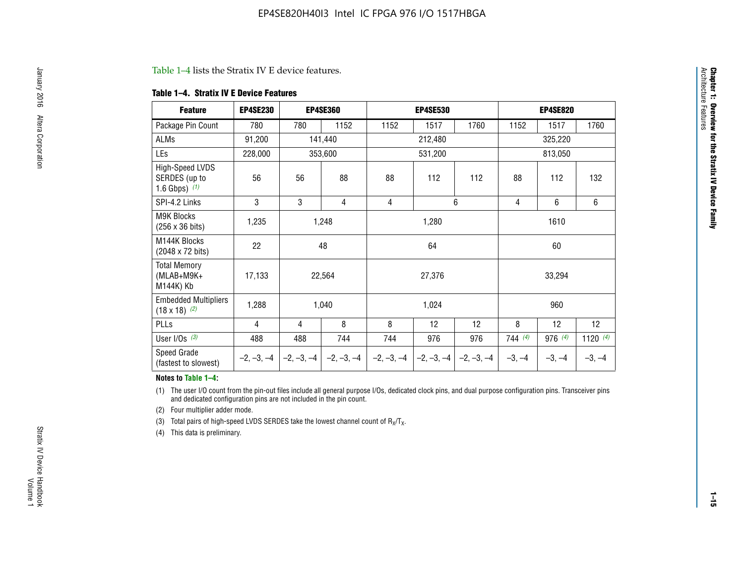#### Table 1–4 lists the Stratix IV E device features.

#### **Table 1–4. Stratix IV E Device Features**

| <b>Feature</b>                                      | <b>EP4SE230</b> |     | <b>EP4SE360</b>                          |              | <b>EP4SE530</b> |              | <b>EP4SE820</b> |          |                 |
|-----------------------------------------------------|-----------------|-----|------------------------------------------|--------------|-----------------|--------------|-----------------|----------|-----------------|
| Package Pin Count                                   | 780             | 780 | 1152                                     | 1152         | 1517            | 1760         | 1152            | 1517     | 1760            |
| ALMs                                                | 91,200          |     | 141,440                                  |              | 212,480         |              |                 | 325,220  |                 |
| LEs                                                 | 228,000         |     | 353,600                                  |              | 531,200         |              |                 | 813,050  |                 |
| High-Speed LVDS<br>SERDES (up to<br>1.6 Gbps) $(1)$ | 56              | 56  | 88                                       | 88           | 112             | 112          | 88              | 112      | 132             |
| SPI-4.2 Links                                       | 3               | 3   | 4                                        | 4            |                 | 6            | $\overline{4}$  | 6        | 6               |
| <b>M9K Blocks</b><br>(256 x 36 bits)                | 1,235           |     | 1,248                                    |              | 1,280           |              |                 | 1610     |                 |
| M144K Blocks<br>(2048 x 72 bits)                    | 22              |     | 48                                       |              | 64              |              |                 | 60       |                 |
| <b>Total Memory</b><br>$(MLAB+M9K+$<br>M144K) Kb    | 17,133          |     | 22,564                                   |              | 27,376          |              |                 | 33,294   |                 |
| <b>Embedded Multipliers</b><br>$(18 \times 18)$ (2) | 1,288           |     | 1,040                                    |              | 1,024           |              |                 | 960      |                 |
| PLLs                                                | 4               | 4   | 8                                        | 8            | 12              | 12           | 8               | 12       | 12 <sup>2</sup> |
| User I/Os $(3)$                                     | 488             | 488 | 744                                      | 744          | 976             | 976          | 744(4)          | 976(4)   | 1120 $(4)$      |
| Speed Grade<br>(fastest to slowest)                 |                 |     | $-2, -3, -4$ $ -2, -3, -4$ $ -2, -3, -4$ | $-2, -3, -4$ | $-2, -3, -4$    | $-2, -3, -4$ | $-3, -4$        | $-3, -4$ | $-3, -4$        |

#### **Notes to Table 1–4:**

(1) The user I/O count from the pin-out files include all general purpose I/Os, dedicated clock pins, and dual purpose configuration pins. Transceiver pins and dedicated configuration pins are not included in the pin count.

(2) Four multiplier adder mode.

(3) Total pairs of high-speed LVDS SERDES take the lowest channel count of  $R_X/T_X$ .

(4) This data is preliminary.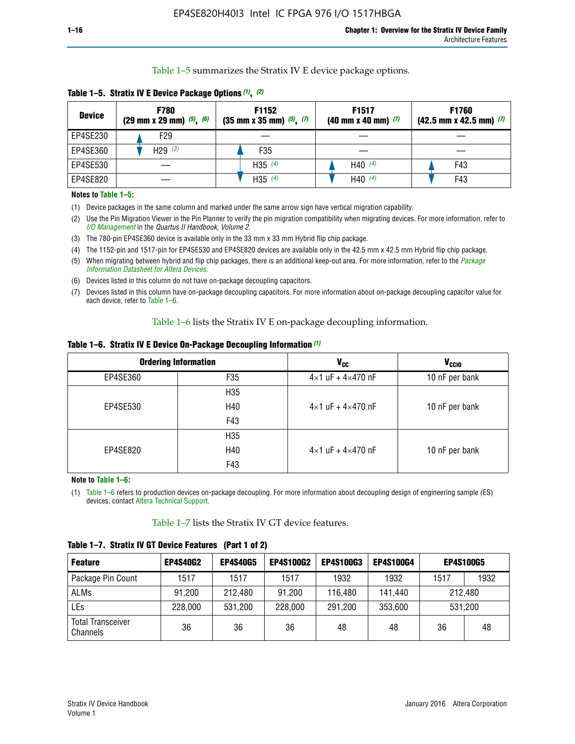Table 1–5 summarizes the Stratix IV E device package options.

| <b>Device</b> | <b>F780</b><br>$(29 \text{ mm} \times 29 \text{ mm})$ $(5)$ , $(6)$ | F1152<br>$(35 \text{ mm} \times 35 \text{ mm})$ $(5)$ , $(7)$ | F <sub>1517</sub><br>$(40 \text{ mm} \times 40 \text{ mm})$ (7) | <b>F1760</b><br>$(42.5$ mm x 42.5 mm) $(7)$ |
|---------------|---------------------------------------------------------------------|---------------------------------------------------------------|-----------------------------------------------------------------|---------------------------------------------|
| EP4SE230      | F <sub>29</sub>                                                     |                                                               |                                                                 |                                             |
| EP4SE360      | H29 $(3)$                                                           | F35                                                           |                                                                 |                                             |
| EP4SE530      |                                                                     | H35 $(4)$                                                     | H40 $(4)$                                                       | F43                                         |
| EP4SE820      |                                                                     | H35 $(4)$                                                     | H40 $(4)$                                                       | F43                                         |

**Table 1–5. Stratix IV E Device Package Options** *(1)***,** *(2)*

#### **Notes to Table 1–5:**

(1) Device packages in the same column and marked under the same arrow sign have vertical migration capability.

(2) Use the Pin Migration Viewer in the Pin Planner to verify the pin migration compatibility when migrating devices. For more information, refer to *[I/O Management](http://www.altera.com/literature/hb/qts/qts_qii52013.pdf)* in the *Quartus II Handbook, Volume 2*.

(3) The 780-pin EP4SE360 device is available only in the 33 mm x 33 mm Hybrid flip chip package.

(4) The 1152-pin and 1517-pin for EP4SE530 and EP4SE820 devices are available only in the 42.5 mm x 42.5 mm Hybrid flip chip package.

(5) When migrating between hybrid and flip chip packages, there is an additional keep-out area. For more information, refer to the *[Package](http://www.altera.com/literature/ds/dspkg.pdf)  [Information Datasheet for Altera Devices](http://www.altera.com/literature/ds/dspkg.pdf)*.

(6) Devices listed in this column do not have on-package decoupling capacitors.

(7) Devices listed in this column have on-package decoupling capacitors. For more information about on-package decoupling capacitor value for each device, refer to Table 1–6.

Table 1–6 lists the Stratix IV E on-package decoupling information.

| Table 1–6. Stratix IV E Device On-Package Decoupling Information (1) |  |  |  |  |  |
|----------------------------------------------------------------------|--|--|--|--|--|
|----------------------------------------------------------------------|--|--|--|--|--|

|          | <b>Ordering Information</b> | <b>V<sub>cc</sub></b>               | <b>V<sub>CCIO</sub></b> |
|----------|-----------------------------|-------------------------------------|-------------------------|
| EP4SE360 | F35                         | $4 \times 1$ uF + $4 \times 470$ nF | 10 nF per bank          |
|          | H <sub>35</sub>             |                                     |                         |
| EP4SE530 | H40                         | $4 \times 1$ uF + $4 \times 470$ nF | 10 nF per bank          |
|          | F43                         |                                     |                         |
|          | H <sub>35</sub>             |                                     |                         |
| EP4SE820 | H40                         | $4 \times 1$ uF + $4 \times 470$ nF | 10 nF per bank          |
|          | F43                         |                                     |                         |

**Note to Table 1–6:**

(1) Table 1–6 refers to production devices on-package decoupling. For more information about decoupling design of engineering sample (ES) devices, contact [Altera Technical Support](http://mysupport.altera.com/eservice/login.asp).

Table 1–7 lists the Stratix IV GT device features.

| <b>Feature</b>                       | <b>EP4S40G2</b> | <b>EP4S40G5</b> | <b>EP4S100G2</b> | <b>EP4S100G3</b> | <b>EP4S100G4</b> | <b>EP4S100G5</b> |      |
|--------------------------------------|-----------------|-----------------|------------------|------------------|------------------|------------------|------|
| Package Pin Count                    | 1517            | 1517            | 1517             | 1932             | 1932             | 1517             | 1932 |
| <b>ALMs</b>                          | 91,200          | 212,480         | 91,200           | 116,480          | 141,440          | 212.480          |      |
| LEs                                  | 228,000         | 531,200         | 228,000          | 291,200          | 353,600          | 531,200          |      |
| <b>Total Transceiver</b><br>Channels | 36              | 36              | 36               | 48               | 48               | 36               | 48   |

**Table 1–7. Stratix IV GT Device Features (Part 1 of 2)**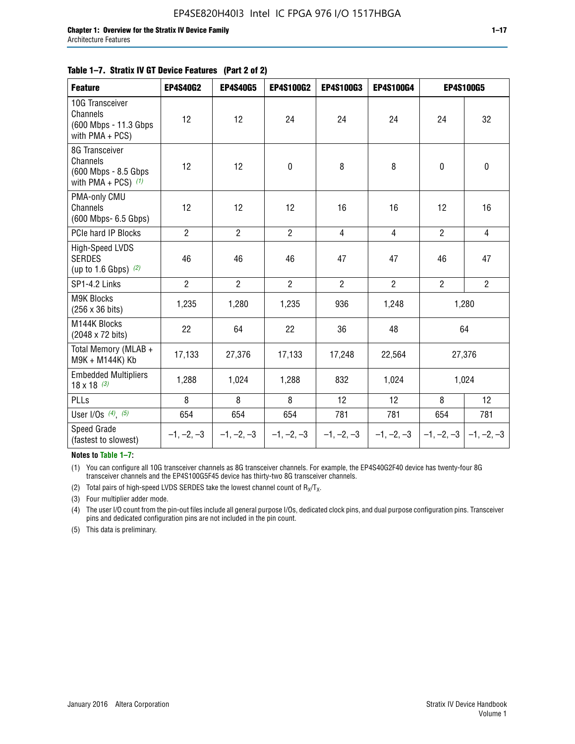#### **Table 1–7. Stratix IV GT Device Features (Part 2 of 2)**

| <b>Feature</b>                                                              | <b>EP4S40G2</b> | <b>EP4S40G5</b> | <b>EP4S100G2</b> | <b>EP4S100G3</b> | <b>EP4S100G4</b> | <b>EP4S100G5</b> |                |
|-----------------------------------------------------------------------------|-----------------|-----------------|------------------|------------------|------------------|------------------|----------------|
| 10G Transceiver<br>Channels<br>(600 Mbps - 11.3 Gbps<br>with PMA + PCS)     | 12              | 12              | 24               | 24               | 24               | 24               | 32             |
| 8G Transceiver<br>Channels<br>(600 Mbps - 8.5 Gbps<br>with PMA + PCS) $(1)$ | 12              | 12              | $\pmb{0}$        | 8                | 8                | 0                | 0              |
| PMA-only CMU<br>Channels<br>(600 Mbps- 6.5 Gbps)                            | 12              | 12              | 12               | 16               | 16               | 12               | 16             |
| PCIe hard IP Blocks                                                         | $\overline{2}$  | $\overline{2}$  | $\overline{2}$   | $\overline{4}$   | $\overline{4}$   | $\overline{2}$   | $\overline{4}$ |
| High-Speed LVDS<br><b>SERDES</b><br>(up to 1.6 Gbps) $(2)$                  | 46              | 46              | 46               | 47               | 47               | 46               | 47             |
| SP1-4.2 Links                                                               | $\overline{2}$  | $\overline{2}$  | $\overline{2}$   | $\overline{2}$   | $\overline{2}$   | $\overline{2}$   | $\overline{2}$ |
| <b>M9K Blocks</b><br>(256 x 36 bits)                                        | 1,235           | 1,280           | 1,235            | 936              | 1,248            |                  | 1,280          |
| M144K Blocks<br>(2048 x 72 bits)                                            | 22              | 64              | 22               | 36               | 48               |                  | 64             |
| Total Memory (MLAB +<br>M9K + M144K) Kb                                     | 17,133          | 27,376          | 17,133           | 17,248           | 22,564           |                  | 27,376         |
| <b>Embedded Multipliers</b><br>$18 \times 18^{(3)}$                         | 1,288           | 1,024           | 1,288            | 832              | 1,024            |                  | 1,024          |
| PLLs                                                                        | 8               | 8               | 8                | 12               | 12               | 8                | 12             |
| User I/Os $(4)$ , $(5)$                                                     | 654             | 654             | 654              | 781              | 781              | 654              | 781            |
| Speed Grade<br>(fastest to slowest)                                         | $-1, -2, -3$    | $-1, -2, -3$    | $-1, -2, -3$     | $-1, -2, -3$     | $-1, -2, -3$     | $-1, -2, -3$     | $-1, -2, -3$   |

**Notes to Table 1–7:**

(1) You can configure all 10G transceiver channels as 8G transceiver channels. For example, the EP4S40G2F40 device has twenty-four 8G transceiver channels and the EP4S100G5F45 device has thirty-two 8G transceiver channels.

(2) Total pairs of high-speed LVDS SERDES take the lowest channel count of  $R_X/T_X$ .

(3) Four multiplier adder mode.

(4) The user I/O count from the pin-out files include all general purpose I/Os, dedicated clock pins, and dual purpose configuration pins. Transceiver pins and dedicated configuration pins are not included in the pin count.

(5) This data is preliminary.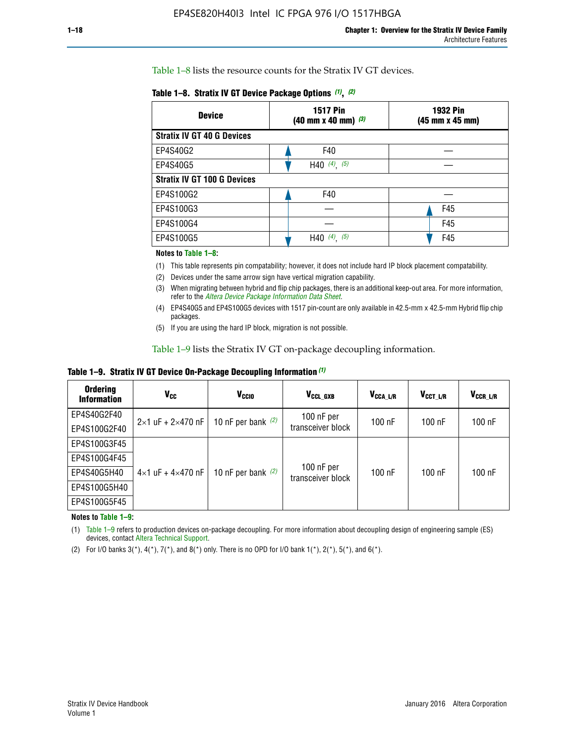Table 1–8 lists the resource counts for the Stratix IV GT devices.

| <b>Device</b>                      | <b>1517 Pin</b><br><b>1932 Pin</b><br>$(40 \text{ mm} \times 40 \text{ mm})$ $(3)$<br>(45 mm x 45 mm) |     |  |
|------------------------------------|-------------------------------------------------------------------------------------------------------|-----|--|
| <b>Stratix IV GT 40 G Devices</b>  |                                                                                                       |     |  |
| EP4S40G2                           | F40                                                                                                   |     |  |
| EP4S40G5                           | H40 $(4)$ , $(5)$                                                                                     |     |  |
| <b>Stratix IV GT 100 G Devices</b> |                                                                                                       |     |  |
| EP4S100G2                          | F40                                                                                                   |     |  |
| EP4S100G3                          |                                                                                                       | F45 |  |
| EP4S100G4                          |                                                                                                       | F45 |  |
| EP4S100G5                          | (5)<br>$(4)$ ,<br>H40                                                                                 | F45 |  |

#### **Notes to Table 1–8:**

(1) This table represents pin compatability; however, it does not include hard IP block placement compatability.

- (2) Devices under the same arrow sign have vertical migration capability.
- (3) When migrating between hybrid and flip chip packages, there is an additional keep-out area. For more information, refer to the *[Altera Device Package Information Data Sheet](http://www.altera.com/literature/ds/dspkg.pdf)*.
- (4) EP4S40G5 and EP4S100G5 devices with 1517 pin-count are only available in 42.5-mm x 42.5-mm Hybrid flip chip packages.
- (5) If you are using the hard IP block, migration is not possible.

Table 1–9 lists the Stratix IV GT on-package decoupling information.

**Table 1–9. Stratix IV GT Device On-Package Decoupling Information** *(1)*

| <b>Ordering</b><br><b>Information</b> | Vcc                                 | <b>V<sub>CCIO</sub></b> | V <sub>CCL GXB</sub>            | V <sub>CCA L/R</sub> | V <sub>CCT L/R</sub> | $V_{CCR\_L/R}$ |
|---------------------------------------|-------------------------------------|-------------------------|---------------------------------|----------------------|----------------------|----------------|
| EP4S40G2F40                           | $2 \times 1$ uF + $2 \times 470$ nF | 10 nF per bank $(2)$    | 100 nF per<br>transceiver block | $100$ nF             | $100$ nF             | $100$ nF       |
| EP4S100G2F40                          |                                     |                         |                                 |                      |                      |                |
| EP4S100G3F45                          |                                     | 10 nF per bank $(2)$    | 100 nF per<br>transceiver block | $100$ nF             | $100$ nF             | $100$ nF       |
| EP4S100G4F45                          |                                     |                         |                                 |                      |                      |                |
| EP4S40G5H40                           | $4\times1$ uF + $4\times470$ nF     |                         |                                 |                      |                      |                |
| EP4S100G5H40                          |                                     |                         |                                 |                      |                      |                |
| EP4S100G5F45                          |                                     |                         |                                 |                      |                      |                |

**Notes to Table 1–9:**

(1) Table 1–9 refers to production devices on-package decoupling. For more information about decoupling design of engineering sample (ES) devices, contact [Altera Technical Support](http://mysupport.altera.com/eservice/login.asp).

(2) For I/O banks  $3(*)$ ,  $4(*)$ ,  $7(*)$ , and  $8(*)$  only. There is no OPD for I/O bank  $1(*)$ ,  $2(*)$ ,  $5(*)$ , and  $6(*)$ .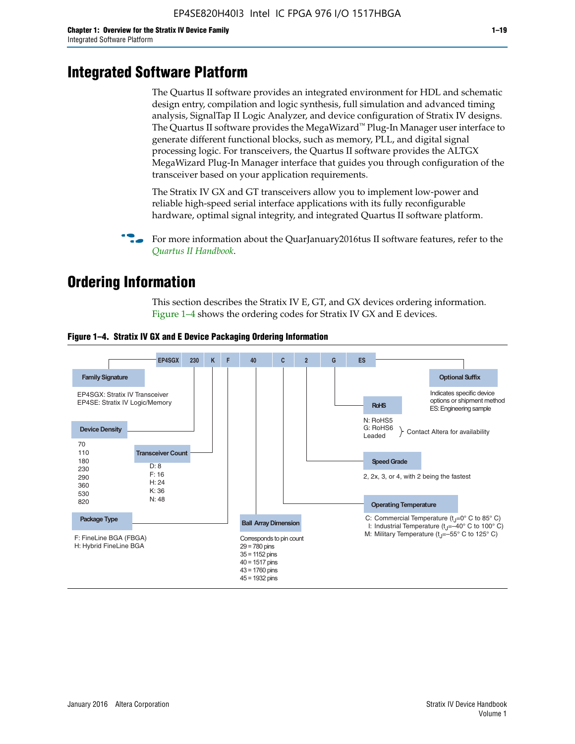# **Integrated Software Platform**

The Quartus II software provides an integrated environment for HDL and schematic design entry, compilation and logic synthesis, full simulation and advanced timing analysis, SignalTap II Logic Analyzer, and device configuration of Stratix IV designs. The Quartus II software provides the MegaWizard<sup> $M$ </sup> Plug-In Manager user interface to generate different functional blocks, such as memory, PLL, and digital signal processing logic. For transceivers, the Quartus II software provides the ALTGX MegaWizard Plug-In Manager interface that guides you through configuration of the transceiver based on your application requirements.

The Stratix IV GX and GT transceivers allow you to implement low-power and reliable high-speed serial interface applications with its fully reconfigurable hardware, optimal signal integrity, and integrated Quartus II software platform.

For more information about the QuarJanuary2016tus II software features, refer to the *[Quartus II Handbook](http://www.altera.com/literature/lit-qts.jsp)*.

# **Ordering Information**

This section describes the Stratix IV E, GT, and GX devices ordering information. Figure 1–4 shows the ordering codes for Stratix IV GX and E devices.



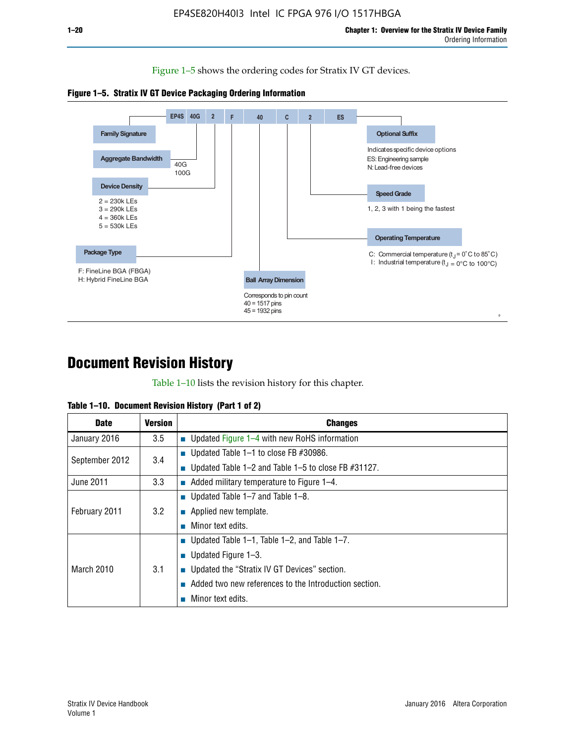Figure 1–5 shows the ordering codes for Stratix IV GT devices.





# **Document Revision History**

Table 1–10 lists the revision history for this chapter.

| Table 1–10. Document Revision History (Part 1 of 2) |  |  |  |  |  |
|-----------------------------------------------------|--|--|--|--|--|
|-----------------------------------------------------|--|--|--|--|--|

| <b>Date</b>       | Version | <b>Changes</b>                                         |
|-------------------|---------|--------------------------------------------------------|
| January 2016      | $3.5\,$ | <b>Updated Figure 1–4 with new RoHS information</b>    |
| September 2012    | 3.4     | ■ Updated Table 1–1 to close FB $#30986$ .             |
|                   |         | Updated Table 1–2 and Table 1–5 to close FB $#31127$ . |
| June 2011         | 3.3     | Added military temperature to Figure 1–4.              |
| February 2011     | 3.2     | ■ Updated Table 1–7 and Table 1–8.                     |
|                   |         | $\blacksquare$ Applied new template.                   |
|                   |         | Minor text edits.                                      |
|                   |         | <b>Updated Table 1–1, Table 1–2, and Table 1–7.</b>    |
| <b>March 2010</b> | 3.1     | ■ Updated Figure $1-3$ .                               |
|                   |         | ■ Updated the "Stratix IV GT Devices" section.         |
|                   |         | Added two new references to the Introduction section.  |
|                   |         | Minor text edits.                                      |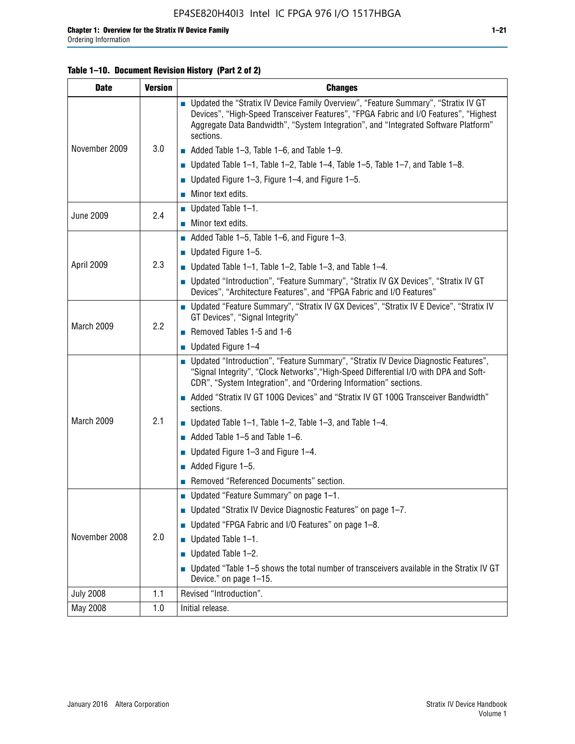## **Table 1–10. Document Revision History (Part 2 of 2)**

| <b>Date</b>      | <b>Version</b> | <b>Changes</b>                                                                                                                                                                                                                                                                    |  |  |
|------------------|----------------|-----------------------------------------------------------------------------------------------------------------------------------------------------------------------------------------------------------------------------------------------------------------------------------|--|--|
|                  |                | ■ Updated the "Stratix IV Device Family Overview", "Feature Summary", "Stratix IV GT<br>Devices", "High-Speed Transceiver Features", "FPGA Fabric and I/O Features", "Highest<br>Aggregate Data Bandwidth", "System Integration", and "Integrated Software Platform"<br>sections. |  |  |
| November 2009    | 3.0            | $\blacksquare$ Added Table 1-3, Table 1-6, and Table 1-9.                                                                                                                                                                                                                         |  |  |
|                  |                | $\blacksquare$ Updated Table 1-1, Table 1-2, Table 1-4, Table 1-5, Table 1-7, and Table 1-8.                                                                                                                                                                                      |  |  |
|                  |                | ■ Updated Figure 1–3, Figure 1–4, and Figure 1–5.                                                                                                                                                                                                                                 |  |  |
|                  |                | $\blacksquare$ Minor text edits.                                                                                                                                                                                                                                                  |  |  |
| <b>June 2009</b> | 2.4            | $\blacksquare$ Updated Table 1-1.                                                                                                                                                                                                                                                 |  |  |
|                  |                | Minor text edits.                                                                                                                                                                                                                                                                 |  |  |
|                  |                | $\blacksquare$ Added Table 1–5, Table 1–6, and Figure 1–3.                                                                                                                                                                                                                        |  |  |
|                  |                | $\blacksquare$ Updated Figure 1-5.                                                                                                                                                                                                                                                |  |  |
| April 2009       | 2.3            | Updated Table $1-1$ , Table $1-2$ , Table $1-3$ , and Table $1-4$ .                                                                                                                                                                                                               |  |  |
|                  |                | ■ Updated "Introduction", "Feature Summary", "Stratix IV GX Devices", "Stratix IV GT<br>Devices", "Architecture Features", and "FPGA Fabric and I/O Features"                                                                                                                     |  |  |
|                  | 2.2            | ■ Updated "Feature Summary", "Stratix IV GX Devices", "Stratix IV E Device", "Stratix IV<br>GT Devices", "Signal Integrity"                                                                                                                                                       |  |  |
| March 2009       |                | Removed Tables 1-5 and 1-6                                                                                                                                                                                                                                                        |  |  |
|                  |                | Updated Figure 1-4                                                                                                                                                                                                                                                                |  |  |
|                  |                | ■ Updated "Introduction", "Feature Summary", "Stratix IV Device Diagnostic Features",<br>"Signal Integrity", "Clock Networks", "High-Speed Differential I/O with DPA and Soft-<br>CDR", "System Integration", and "Ordering Information" sections.                                |  |  |
|                  |                | Added "Stratix IV GT 100G Devices" and "Stratix IV GT 100G Transceiver Bandwidth"<br>sections.                                                                                                                                                                                    |  |  |
| March 2009       | 2.1            | <b>Updated Table 1–1, Table 1–2, Table 1–3, and Table 1–4.</b>                                                                                                                                                                                                                    |  |  |
|                  |                | $\blacksquare$ Added Table 1-5 and Table 1-6.                                                                                                                                                                                                                                     |  |  |
|                  |                | ■ Updated Figure $1-3$ and Figure $1-4$ .                                                                                                                                                                                                                                         |  |  |
|                  |                | $\blacksquare$ Added Figure 1-5.                                                                                                                                                                                                                                                  |  |  |
|                  |                | Removed "Referenced Documents" section.                                                                                                                                                                                                                                           |  |  |
|                  | 2.0            | Updated "Feature Summary" on page 1-1.                                                                                                                                                                                                                                            |  |  |
|                  |                | ■ Updated "Stratix IV Device Diagnostic Features" on page 1-7.                                                                                                                                                                                                                    |  |  |
| November 2008    |                | Updated "FPGA Fabric and I/O Features" on page 1-8.                                                                                                                                                                                                                               |  |  |
|                  |                | $\blacksquare$ Updated Table 1-1.                                                                                                                                                                                                                                                 |  |  |
|                  |                | Updated Table 1-2.                                                                                                                                                                                                                                                                |  |  |
|                  |                | Updated "Table 1-5 shows the total number of transceivers available in the Stratix IV GT<br>Device." on page 1-15.                                                                                                                                                                |  |  |
| <b>July 2008</b> | 1.1            | Revised "Introduction".                                                                                                                                                                                                                                                           |  |  |
| May 2008         | 1.0            | Initial release.                                                                                                                                                                                                                                                                  |  |  |